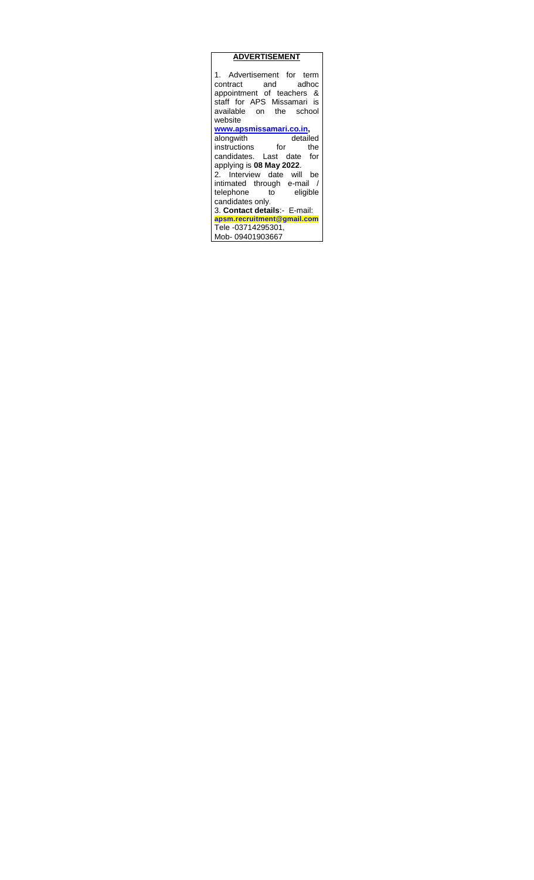| <b>ADVERTISEMENT</b>                                                                                                                             |  |  |  |  |
|--------------------------------------------------------------------------------------------------------------------------------------------------|--|--|--|--|
| 1. Advertisement for term<br>contract and adhoc<br>appointment of teachers &<br>staff for APS Missamari is<br>available on the school<br>website |  |  |  |  |
| www.apsmissamari.co.in,                                                                                                                          |  |  |  |  |
|                                                                                                                                                  |  |  |  |  |
| alongwith detailed<br>instructions for the                                                                                                       |  |  |  |  |
| candidates. Last date for                                                                                                                        |  |  |  |  |
| applying is 08 May 2022.                                                                                                                         |  |  |  |  |
| 2. Interview date will be                                                                                                                        |  |  |  |  |
| intimated through e-mail /                                                                                                                       |  |  |  |  |
| telephone to eligible                                                                                                                            |  |  |  |  |
| candidates only.                                                                                                                                 |  |  |  |  |
| 3. Contact details:- E-mail:                                                                                                                     |  |  |  |  |
| apsm.recruitment@gmail.com                                                                                                                       |  |  |  |  |
| Tele -03714295301,                                                                                                                               |  |  |  |  |
|                                                                                                                                                  |  |  |  |  |
| Mob-09401903667                                                                                                                                  |  |  |  |  |